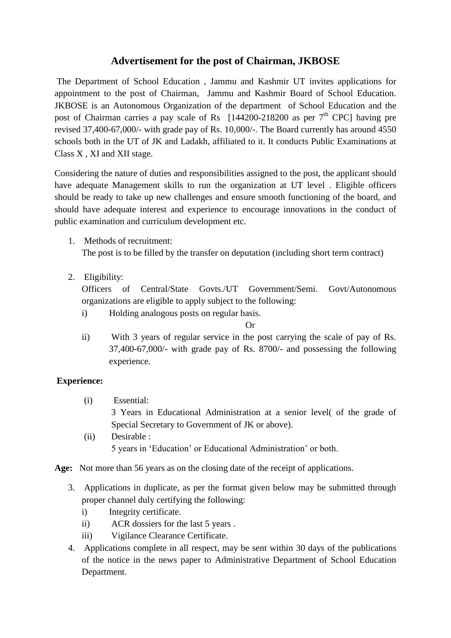## **Advertisement for the post of Chairman, JKBOSE**

The Department of School Education , Jammu and Kashmir UT invites applications for appointment to the post of Chairman, Jammu and Kashmir Board of School Education. JKBOSE is an Autonomous Organization of the department of School Education and the post of Chairman carries a pay scale of Rs  $[144200-218200$  as per  $7<sup>th</sup>$  CPC] having pre revised 37,400-67,000/- with grade pay of Rs. 10,000/-. The Board currently has around 4550 schools both in the UT of JK and Ladakh, affiliated to it. It conducts Public Examinations at Class X , XI and XII stage.

Considering the nature of duties and responsibilities assigned to the post, the applicant should have adequate Management skills to run the organization at UT level . Eligible officers should be ready to take up new challenges and ensure smooth functioning of the board, and should have adequate interest and experience to encourage innovations in the conduct of public examination and curriculum development etc.

1. Methods of recruitment:

The post is to be filled by the transfer on deputation (including short term contract)

2. Eligibility:

Officers of Central/State Govts./UT Government/Semi. Govt/Autonomous organizations are eligible to apply subject to the following:

i) Holding analogous posts on regular basis.

**Or** 

ii) With 3 years of regular service in the post carrying the scale of pay of Rs. 37,400-67,000/- with grade pay of Rs. 8700/- and possessing the following experience.

## **Experience:**

(i) Essential:

3 Years in Educational Administration at a senior level( of the grade of Special Secretary to Government of JK or above).

(ii) Desirable : 5 years in 'Education' or Educational Administration' or both.

**Age:** Not more than 56 years as on the closing date of the receipt of applications.

- 3. Applications in duplicate, as per the format given below may be submitted through proper channel duly certifying the following:
	- i) Integrity certificate.
	- ii) ACR dossiers for the last 5 years .
	- iii) Vigilance Clearance Certificate.
- 4. Applications complete in all respect, may be sent within 30 days of the publications of the notice in the news paper to Administrative Department of School Education Department.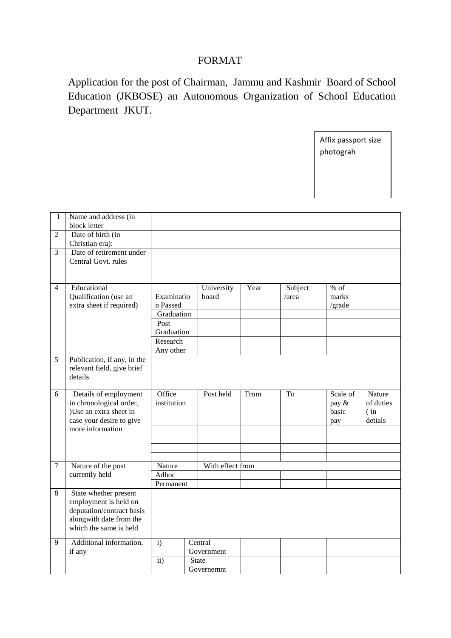## FORMAT

Application for the post of Chairman, Jammu and Kashmir Board of School Education (JKBOSE) an Autonomous Organization of School Education Department JKUT.

> Affix passport size photograh

| 1              | Name and address (in<br>block letter         |               |                            |      |         |          |           |
|----------------|----------------------------------------------|---------------|----------------------------|------|---------|----------|-----------|
| 2              | Date of birth (in                            |               |                            |      |         |          |           |
|                | Christian era):                              |               |                            |      |         |          |           |
| 3              | Date of retirement under                     |               |                            |      |         |          |           |
|                | Central Govt. rules                          |               |                            |      |         |          |           |
|                |                                              |               |                            |      |         |          |           |
|                |                                              |               |                            |      |         |          |           |
| 4              | Educational                                  |               | University                 | Year | Subject | $%$ of   |           |
|                | Qualification (use an                        | Examinatio    | board                      |      | /area   | marks    |           |
|                | extra sheet if required)                     | n Passed      |                            |      |         | /grade   |           |
|                |                                              | Graduation    |                            |      |         |          |           |
|                |                                              | Post          |                            |      |         |          |           |
|                |                                              | Graduation    |                            |      |         |          |           |
|                |                                              | Research      |                            |      |         |          |           |
|                |                                              | Any other     |                            |      |         |          |           |
| 5              | Publication, if any, in the                  |               |                            |      |         |          |           |
|                | relevant field, give brief                   |               |                            |      |         |          |           |
|                | details                                      |               |                            |      |         |          |           |
| 6              | Details of employment                        | Office        | Post held                  | From | To      | Scale of | Nature    |
|                | in chronological order.                      | institution   |                            |      |         | pay &    | of duties |
|                |                                              |               |                            |      |         |          |           |
|                |                                              |               |                            |      |         |          |           |
|                | )Use an extra sheet in                       |               |                            |      |         | basic    | (in)      |
|                | case your desire to give<br>more information |               |                            |      |         | pay      | detials   |
|                |                                              |               |                            |      |         |          |           |
|                |                                              |               |                            |      |         |          |           |
|                |                                              |               |                            |      |         |          |           |
| $\overline{7}$ | Nature of the post                           | Nature        | With effect from           |      |         |          |           |
|                | currently held                               | Adhoc         |                            |      |         |          |           |
|                |                                              | Permanent     |                            |      |         |          |           |
| 8              | State whether present                        |               |                            |      |         |          |           |
|                | employment is held on                        |               |                            |      |         |          |           |
|                | deputation/contract basis                    |               |                            |      |         |          |           |
|                | alongwith date from the                      |               |                            |      |         |          |           |
|                | which the same is held                       |               |                            |      |         |          |           |
|                |                                              |               |                            |      |         |          |           |
| 9              | Additional information,                      | i)            | Central                    |      |         |          |           |
|                | if any                                       |               | Government                 |      |         |          |           |
|                |                                              | $\mathbf{ii}$ | <b>State</b><br>Governemnt |      |         |          |           |